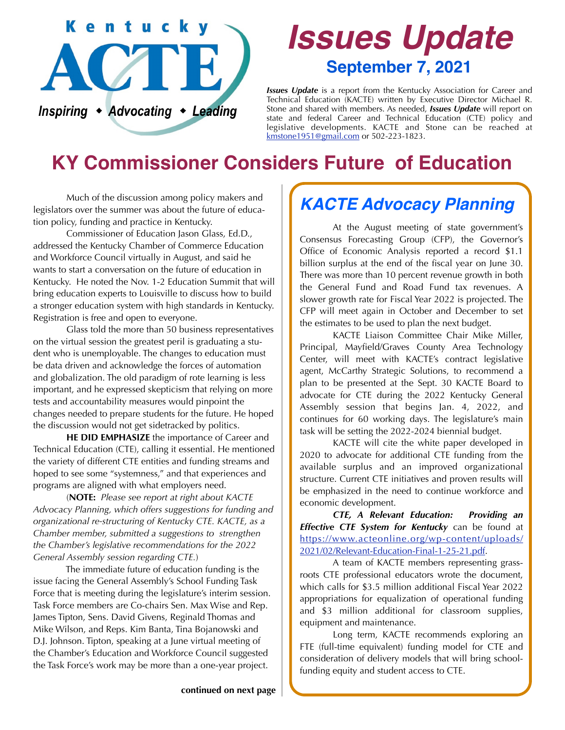

# *Issues Update* **September 7, 2021**

*Issues Update* is a report from the Kentucky Association for Career and Technical Education (KACTE) written by Executive Director Michael R. Stone and shared with members. As needed, *Issues Update* will report on state and federal Career and Technical Education (CTE) policy and legislative developments. KACTE and Stone can be reached at [kmstone1951@gmail.com](mailto:kmstone1951@gmail.com) or 502-223-1823.

## **KY Commissioner Considers Future of Education**

 Much of the discussion among policy makers and legislators over the summer was about the future of education policy, funding and practice in Kentucky.

 Commissioner of Education Jason Glass, Ed.D., addressed the Kentucky Chamber of Commerce Education and Workforce Council virtually in August, and said he wants to start a conversation on the future of education in Kentucky. He noted the Nov. 1-2 Education Summit that will bring education experts to Louisville to discuss how to build a stronger education system with high standards in Kentucky. Registration is free and open to everyone.

 Glass told the more than 50 business representatives on the virtual session the greatest peril is graduating a student who is unemployable. The changes to education must be data driven and acknowledge the forces of automation and globalization. The old paradigm of rote learning is less important, and he expressed skepticism that relying on more tests and accountability measures would pinpoint the changes needed to prepare students for the future. He hoped the discussion would not get sidetracked by politics.

**HE DID EMPHASIZE** the importance of Career and Technical Education (CTE), calling it essential. He mentioned the variety of different CTE entities and funding streams and hoped to see some "systemness," and that experiences and programs are aligned with what employers need.

 (**NOTE:** *Please see report at right about KACTE Advocacy Planning, which offers suggestions for funding and organizational re-structuring of Kentucky CTE. KACTE, as a Chamber member, submitted a suggestions to strengthen the Chamber's legislative recommendations for the 2022 General Assembly session regarding CTE.*)

 The immediate future of education funding is the issue facing the General Assembly's School Funding Task Force that is meeting during the legislature's interim session. Task Force members are Co-chairs Sen. Max Wise and Rep. James Tipton, Sens. David Givens, Reginald Thomas and Mike Wilson, and Reps. Kim Banta, Tina Bojanowski and D.J. Johnson. Tipton, speaking at a June virtual meeting of the Chamber's Education and Workforce Council suggested the Task Force's work may be more than a one-year project.

### *KACTE Advocacy Planning*

 At the August meeting of state government's Consensus Forecasting Group (CFP), the Governor's Office of Economic Analysis reported a record \$1.1 billion surplus at the end of the fiscal year on June 30. There was more than 10 percent revenue growth in both the General Fund and Road Fund tax revenues. A slower growth rate for Fiscal Year 2022 is projected. The CFP will meet again in October and December to set the estimates to be used to plan the next budget.

 KACTE Liaison Committee Chair Mike Miller, Principal, Mayfield/Graves County Area Technology Center, will meet with KACTE's contract legislative agent, McCarthy Strategic Solutions, to recommend a plan to be presented at the Sept. 30 KACTE Board to advocate for CTE during the 2022 Kentucky General Assembly session that begins Jan. 4, 2022, and continues for 60 working days. The legislature's main task will be setting the 2022-2024 biennial budget.

 KACTE will cite the white paper developed in 2020 to advocate for additional CTE funding from the available surplus and an improved organizational structure. Current CTE initiatives and proven results will be emphasized in the need to continue workforce and economic development.

*CTE, A Relevant Education: Providing an Effective CTE System for Kentucky* can be found at [https://www.acteonline.org/wp-content/uploads/](https://www.acteonline.org/wp-content/uploads/2021/02/Relevant-Education-Final-1-25-21.pdf) [2021/02/Relevant-Education-Final-1-25-21.pdf.](https://www.acteonline.org/wp-content/uploads/2021/02/Relevant-Education-Final-1-25-21.pdf)

 A team of KACTE members representing grassroots CTE professional educators wrote the document, which calls for \$3.5 million additional Fiscal Year 2022 appropriations for equalization of operational funding and \$3 million additional for classroom supplies, equipment and maintenance.

 Long term, KACTE recommends exploring an FTE (full-time equivalent) funding model for CTE and consideration of delivery models that will bring schoolfunding equity and student access to CTE.

**continued on next page**